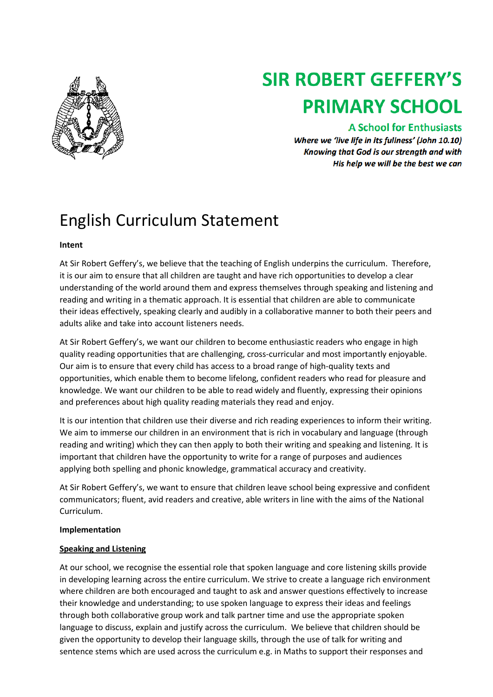

# **SIR ROBERT GEFFERY'S PRIMARY SCHOOL**

### **A School for Enthusiasts**

Where we 'live life in its fullness' (John 10.10) Knowing that God is our strength and with His help we will be the best we can

## English Curriculum Statement

#### **Intent**

At Sir Robert Geffery's, we believe that the teaching of English underpins the curriculum. Therefore, it is our aim to ensure that all children are taught and have rich opportunities to develop a clear understanding of the world around them and express themselves through speaking and listening and reading and writing in a thematic approach. It is essential that children are able to communicate their ideas effectively, speaking clearly and audibly in a collaborative manner to both their peers and adults alike and take into account listeners needs.

At Sir Robert Geffery's, we want our children to become enthusiastic readers who engage in high quality reading opportunities that are challenging, cross-curricular and most importantly enjoyable. Our aim is to ensure that every child has access to a broad range of high-quality texts and opportunities, which enable them to become lifelong, confident readers who read for pleasure and knowledge. We want our children to be able to read widely and fluently, expressing their opinions and preferences about high quality reading materials they read and enjoy.

It is our intention that children use their diverse and rich reading experiences to inform their writing. We aim to immerse our children in an environment that is rich in vocabulary and language (through reading and writing) which they can then apply to both their writing and speaking and listening. It is important that children have the opportunity to write for a range of purposes and audiences applying both spelling and phonic knowledge, grammatical accuracy and creativity.

At Sir Robert Geffery's, we want to ensure that children leave school being expressive and confident communicators; fluent, avid readers and creative, able writers in line with the aims of the National Curriculum.

#### **Implementation**

#### **Speaking and Listening**

At our school, we recognise the essential role that spoken language and core listening skills provide in developing learning across the entire curriculum. We strive to create a language rich environment where children are both encouraged and taught to ask and answer questions effectively to increase their knowledge and understanding; to use spoken language to express their ideas and feelings through both collaborative group work and talk partner time and use the appropriate spoken language to discuss, explain and justify across the curriculum. We believe that children should be given the opportunity to develop their language skills, through the use of talk for writing and sentence stems which are used across the curriculum e.g. in Maths to support their responses and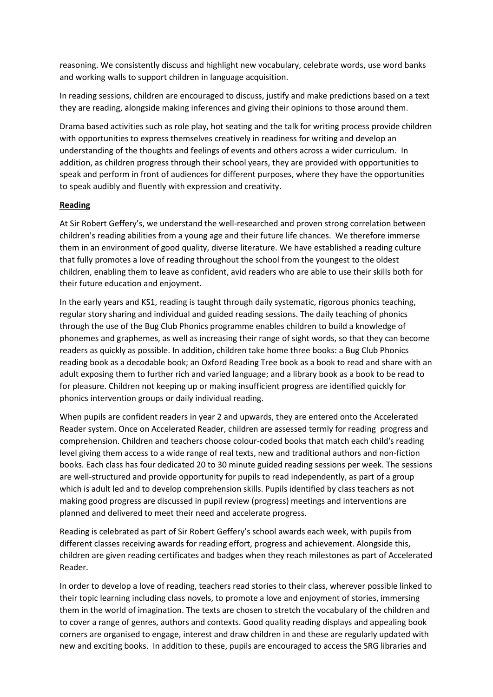reasoning. We consistently discuss and highlight new vocabulary, celebrate words, use word banks and working walls to support children in language acquisition.

In reading sessions, children are encouraged to discuss, justify and make predictions based on a text they are reading, alongside making inferences and giving their opinions to those around them.

Drama based activities such as role play, hot seating and the talk for writing process provide children with opportunities to express themselves creatively in readiness for writing and develop an understanding of the thoughts and feelings of events and others across a wider curriculum. In addition, as children progress through their school years, they are provided with opportunities to speak and perform in front of audiences for different purposes, where they have the opportunities to speak audibly and fluently with expression and creativity.

#### **Reading**

At Sir Robert Geffery's, we understand the well-researched and proven strong correlation between children's reading abilities from a young age and their future life chances. We therefore immerse them in an environment of good quality, diverse literature. We have established a reading culture that fully promotes a love of reading throughout the school from the youngest to the oldest children, enabling them to leave as confident, avid readers who are able to use their skills both for their future education and enjoyment.

In the early years and KS1, reading is taught through daily systematic, rigorous phonics teaching, regular story sharing and individual and guided reading sessions. The daily teaching of phonics through the use of the Bug Club Phonics programme enables children to build a knowledge of phonemes and graphemes, as well as increasing their range of sight words, so that they can become readers as quickly as possible. In addition, children take home three books: a Bug Club Phonics reading book as a decodable book; an Oxford Reading Tree book as a book to read and share with an adult exposing them to further rich and varied language; and a library book as a book to be read to for pleasure. Children not keeping up or making insufficient progress are identified quickly for phonics intervention groups or daily individual reading.

When pupils are confident readers in year 2 and upwards, they are entered onto the Accelerated Reader system. Once on Accelerated Reader, children are assessed termly for reading progress and comprehension. Children and teachers choose colour-coded books that match each child's reading level giving them access to a wide range of real texts, new and traditional authors and non-fiction books. Each class has four dedicated 20 to 30 minute guided reading sessions per week. The sessions are well-structured and provide opportunity for pupils to read independently, as part of a group which is adult led and to develop comprehension skills. Pupils identified by class teachers as not making good progress are discussed in pupil review (progress) meetings and interventions are planned and delivered to meet their need and accelerate progress.

Reading is celebrated as part of Sir Robert Geffery's school awards each week, with pupils from different classes receiving awards for reading effort, progress and achievement. Alongside this, children are given reading certificates and badges when they reach milestones as part of Accelerated Reader.

In order to develop a love of reading, teachers read stories to their class, wherever possible linked to their topic learning including class novels, to promote a love and enjoyment of stories, immersing them in the world of imagination. The texts are chosen to stretch the vocabulary of the children and to cover a range of genres, authors and contexts. Good quality reading displays and appealing book corners are organised to engage, interest and draw children in and these are regularly updated with new and exciting books. In addition to these, pupils are encouraged to access the SRG libraries and